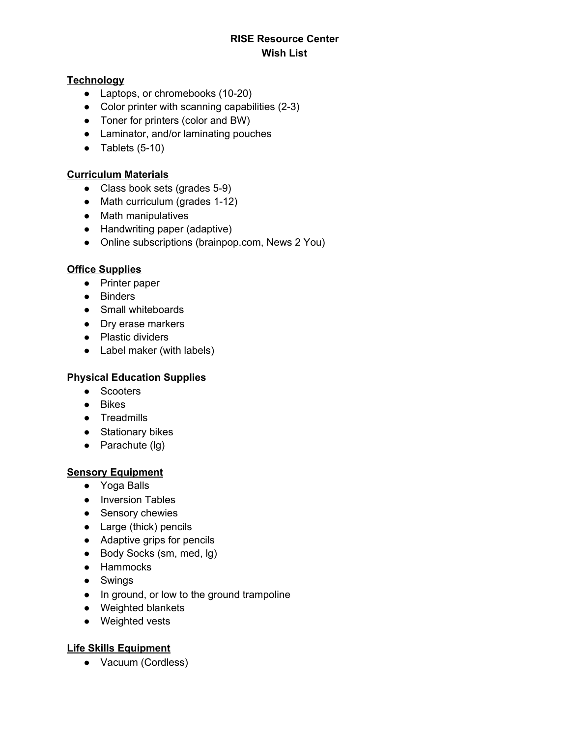# **RISE Resource Center Wish List**

#### **Technology**

- Laptops, or chromebooks (10-20)
- Color printer with scanning capabilities (2-3)
- Toner for printers (color and BW)
- Laminator, and/or laminating pouches
- Tablets  $(5-10)$

#### **Curriculum Materials**

- Class book sets (grades 5-9)
- Math curriculum (grades 1-12)
- Math manipulatives
- Handwriting paper (adaptive)
- Online subscriptions (brainpop.com, News 2 You)

#### **Office Supplies**

- Printer paper
- Binders
- Small whiteboards
- Dry erase markers
- Plastic dividers
- Label maker (with labels)

### **Physical Education Supplies**

- Scooters
- Bikes
- Treadmills
- Stationary bikes
- $\bullet$  Parachute (lg)

### **Sensory Equipment**

- Yoga Balls
- Inversion Tables
- Sensory chewies
- Large (thick) pencils
- Adaptive grips for pencils
- Body Socks (sm, med, lg)
- Hammocks
- Swings
- In ground, or low to the ground trampoline
- Weighted blankets
- Weighted vests

### **Life Skills Equipment**

● Vacuum (Cordless)